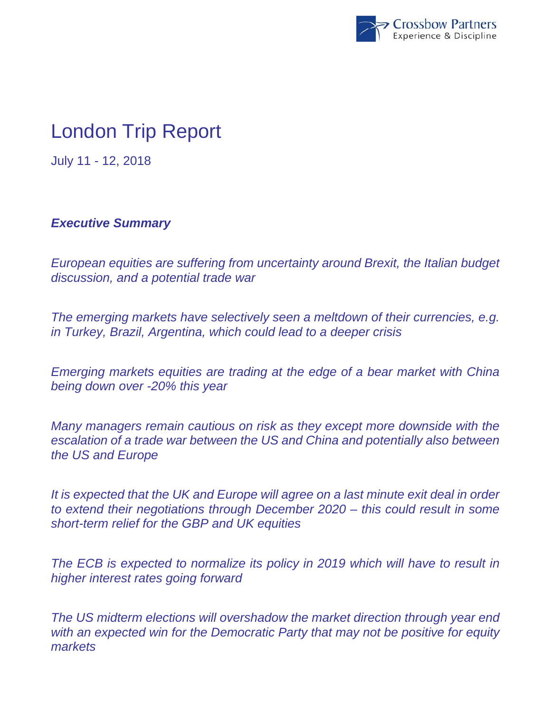

# London Trip Report

July 11 - 12, 2018

# *Executive Summary*

*European equities are suffering from uncertainty around Brexit, the Italian budget discussion, and a potential trade war* 

*The emerging markets have selectively seen a meltdown of their currencies, e.g. in Turkey, Brazil, Argentina, which could lead to a deeper crisis* 

*Emerging markets equities are trading at the edge of a bear market with China being down over -20% this year* 

*Many managers remain cautious on risk as they except more downside with the escalation of a trade war between the US and China and potentially also between the US and Europe* 

*It is expected that the UK and Europe will agree on a last minute exit deal in order to extend their negotiations through December 2020 – this could result in some short-term relief for the GBP and UK equities* 

*The ECB is expected to normalize its policy in 2019 which will have to result in higher interest rates going forward* 

*The US midterm elections will overshadow the market direction through year end with an expected win for the Democratic Party that may not be positive for equity markets*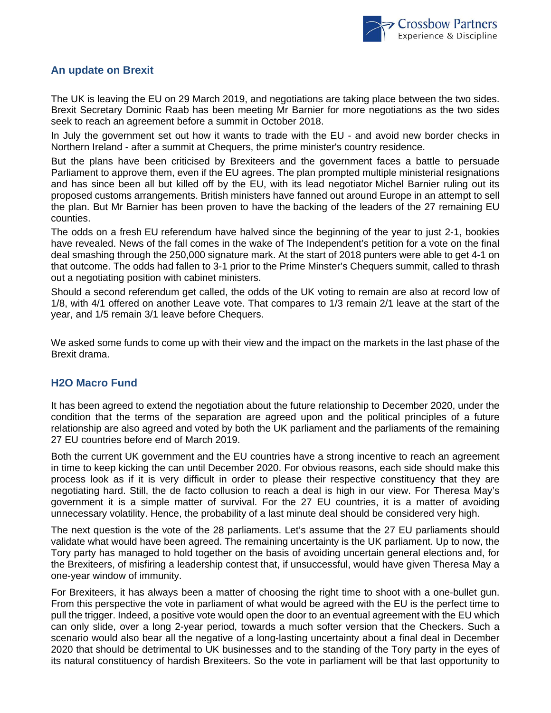

### **An update on Brexit**

The UK is leaving the EU on 29 March 2019, and negotiations are taking place between the two sides. Brexit Secretary Dominic Raab has been meeting Mr Barnier for more negotiations as the two sides seek to reach an agreement before a summit in October 2018.

In July the government set out how it wants to trade with the EU - and avoid new border checks in Northern Ireland - after a summit at Chequers, the prime minister's country residence.

But the plans have been criticised by Brexiteers and the government faces a battle to persuade Parliament to approve them, even if the EU agrees. The plan prompted multiple ministerial resignations and has since been all but killed off by the EU, with its lead negotiator Michel Barnier ruling out its proposed customs arrangements. British ministers have fanned out around Europe in an attempt to sell the plan. But Mr Barnier has been proven to have the backing of the leaders of the 27 remaining EU counties.

The odds on a fresh EU referendum have halved since the beginning of the year to just 2-1, bookies have revealed. News of the fall comes in the wake of The Independent's petition for a vote on the final deal smashing through the 250,000 signature mark. At the start of 2018 punters were able to get 4-1 on that outcome. The odds had fallen to 3-1 prior to the Prime Minster's Chequers summit, called to thrash out a negotiating position with cabinet ministers.

Should a second referendum get called, the odds of the UK voting to remain are also at record low of 1/8, with 4/1 offered on another Leave vote. That compares to 1/3 remain 2/1 leave at the start of the year, and 1/5 remain 3/1 leave before Chequers.

We asked some funds to come up with their view and the impact on the markets in the last phase of the Brexit drama.

#### **H2O Macro Fund**

It has been agreed to extend the negotiation about the future relationship to December 2020, under the condition that the terms of the separation are agreed upon and the political principles of a future relationship are also agreed and voted by both the UK parliament and the parliaments of the remaining 27 EU countries before end of March 2019.

Both the current UK government and the EU countries have a strong incentive to reach an agreement in time to keep kicking the can until December 2020. For obvious reasons, each side should make this process look as if it is very difficult in order to please their respective constituency that they are negotiating hard. Still, the de facto collusion to reach a deal is high in our view. For Theresa May's government it is a simple matter of survival. For the 27 EU countries, it is a matter of avoiding unnecessary volatility. Hence, the probability of a last minute deal should be considered very high.

The next question is the vote of the 28 parliaments. Let's assume that the 27 EU parliaments should validate what would have been agreed. The remaining uncertainty is the UK parliament. Up to now, the Tory party has managed to hold together on the basis of avoiding uncertain general elections and, for the Brexiteers, of misfiring a leadership contest that, if unsuccessful, would have given Theresa May a one-year window of immunity.

For Brexiteers, it has always been a matter of choosing the right time to shoot with a one-bullet gun. From this perspective the vote in parliament of what would be agreed with the EU is the perfect time to pull the trigger. Indeed, a positive vote would open the door to an eventual agreement with the EU which can only slide, over a long 2-year period, towards a much softer version that the Checkers. Such a scenario would also bear all the negative of a long-lasting uncertainty about a final deal in December 2020 that should be detrimental to UK businesses and to the standing of the Tory party in the eyes of its natural constituency of hardish Brexiteers. So the vote in parliament will be that last opportunity to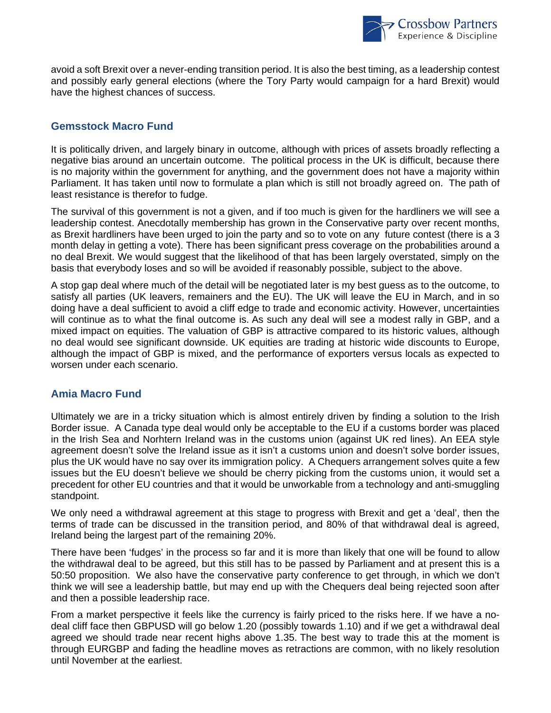

avoid a soft Brexit over a never-ending transition period. It is also the best timing, as a leadership contest and possibly early general elections (where the Tory Party would campaign for a hard Brexit) would have the highest chances of success.

# **Gemsstock Macro Fund**

It is politically driven, and largely binary in outcome, although with prices of assets broadly reflecting a negative bias around an uncertain outcome. The political process in the UK is difficult, because there is no majority within the government for anything, and the government does not have a majority within Parliament. It has taken until now to formulate a plan which is still not broadly agreed on. The path of least resistance is therefor to fudge.

The survival of this government is not a given, and if too much is given for the hardliners we will see a leadership contest. Anecdotally membership has grown in the Conservative party over recent months, as Brexit hardliners have been urged to join the party and so to vote on any future contest (there is a 3 month delay in getting a vote). There has been significant press coverage on the probabilities around a no deal Brexit. We would suggest that the likelihood of that has been largely overstated, simply on the basis that everybody loses and so will be avoided if reasonably possible, subject to the above.

A stop gap deal where much of the detail will be negotiated later is my best guess as to the outcome, to satisfy all parties (UK leavers, remainers and the EU). The UK will leave the EU in March, and in so doing have a deal sufficient to avoid a cliff edge to trade and economic activity. However, uncertainties will continue as to what the final outcome is. As such any deal will see a modest rally in GBP, and a mixed impact on equities. The valuation of GBP is attractive compared to its historic values, although no deal would see significant downside. UK equities are trading at historic wide discounts to Europe, although the impact of GBP is mixed, and the performance of exporters versus locals as expected to worsen under each scenario.

## **Amia Macro Fund**

Ultimately we are in a tricky situation which is almost entirely driven by finding a solution to the Irish Border issue. A Canada type deal would only be acceptable to the EU if a customs border was placed in the Irish Sea and Norhtern Ireland was in the customs union (against UK red lines). An EEA style agreement doesn't solve the Ireland issue as it isn't a customs union and doesn't solve border issues, plus the UK would have no say over its immigration policy. A Chequers arrangement solves quite a few issues but the EU doesn't believe we should be cherry picking from the customs union, it would set a precedent for other EU countries and that it would be unworkable from a technology and anti-smuggling standpoint.

We only need a withdrawal agreement at this stage to progress with Brexit and get a 'deal', then the terms of trade can be discussed in the transition period, and 80% of that withdrawal deal is agreed, Ireland being the largest part of the remaining 20%.

There have been 'fudges' in the process so far and it is more than likely that one will be found to allow the withdrawal deal to be agreed, but this still has to be passed by Parliament and at present this is a 50:50 proposition. We also have the conservative party conference to get through, in which we don't think we will see a leadership battle, but may end up with the Chequers deal being rejected soon after and then a possible leadership race.

From a market perspective it feels like the currency is fairly priced to the risks here. If we have a nodeal cliff face then GBPUSD will go below 1.20 (possibly towards 1.10) and if we get a withdrawal deal agreed we should trade near recent highs above 1.35. The best way to trade this at the moment is through EURGBP and fading the headline moves as retractions are common, with no likely resolution until November at the earliest.